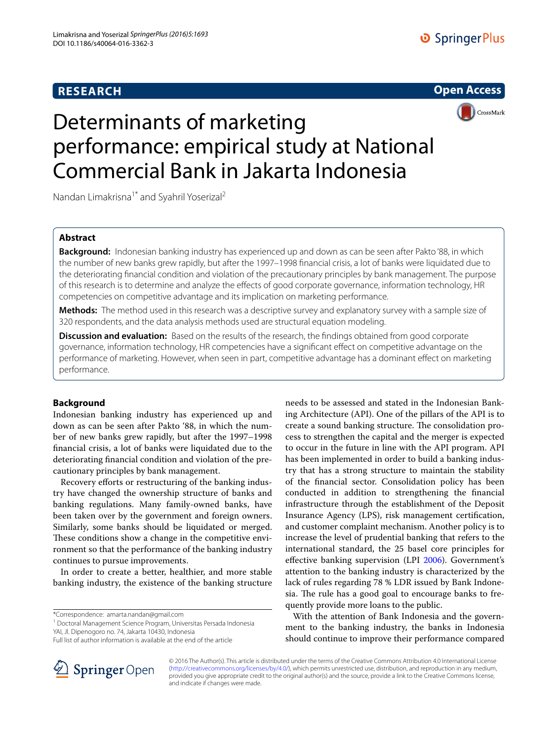# **RESEARCH**





# Determinants of marketing performance: empirical study at National Commercial Bank in Jakarta Indonesia

Nandan Limakrisna<sup>1\*</sup> and Syahril Yoserizal<sup>2</sup>

## **Abstract**

**Background:** Indonesian banking industry has experienced up and down as can be seen after Pakto '88, in which the number of new banks grew rapidly, but after the 1997–1998 financial crisis, a lot of banks were liquidated due to the deteriorating financial condition and violation of the precautionary principles by bank management. The purpose of this research is to determine and analyze the effects of good corporate governance, information technology, HR competencies on competitive advantage and its implication on marketing performance.

**Methods:** The method used in this research was a descriptive survey and explanatory survey with a sample size of 320 respondents, and the data analysis methods used are structural equation modeling.

**Discussion and evaluation:** Based on the results of the research, the findings obtained from good corporate governance, information technology, HR competencies have a significant effect on competitive advantage on the performance of marketing. However, when seen in part, competitive advantage has a dominant effect on marketing performance.

## **Background**

Indonesian banking industry has experienced up and down as can be seen after Pakto '88, in which the number of new banks grew rapidly, but after the 1997–1998 financial crisis, a lot of banks were liquidated due to the deteriorating financial condition and violation of the precautionary principles by bank management.

Recovery efforts or restructuring of the banking industry have changed the ownership structure of banks and banking regulations. Many family-owned banks, have been taken over by the government and foreign owners. Similarly, some banks should be liquidated or merged. These conditions show a change in the competitive environment so that the performance of the banking industry continues to pursue improvements.

In order to create a better, healthier, and more stable banking industry, the existence of the banking structure

\*Correspondence: amarta.nandan@gmail.com

<sup>1</sup> Doctoral Management Science Program, Universitas Persada Indonesia YAI, Jl. Dipenogoro no. 74, Jakarta 10430, Indonesia

needs to be assessed and stated in the Indonesian Banking Architecture (API). One of the pillars of the API is to create a sound banking structure. The consolidation process to strengthen the capital and the merger is expected to occur in the future in line with the API program. API has been implemented in order to build a banking industry that has a strong structure to maintain the stability of the financial sector. Consolidation policy has been conducted in addition to strengthening the financial infrastructure through the establishment of the Deposit Insurance Agency (LPS), risk management certification, and customer complaint mechanism. Another policy is to increase the level of prudential banking that refers to the international standard, the 25 basel core principles for effective banking supervision (LPI [2006\)](#page-6-0). Government's attention to the banking industry is characterized by the lack of rules regarding 78 % LDR issued by Bank Indonesia. The rule has a good goal to encourage banks to frequently provide more loans to the public.

With the attention of Bank Indonesia and the government to the banking industry, the banks in Indonesia should continue to improve their performance compared



© 2016 The Author(s). This article is distributed under the terms of the Creative Commons Attribution 4.0 International License [\(http://creativecommons.org/licenses/by/4.0/\)](http://creativecommons.org/licenses/by/4.0/), which permits unrestricted use, distribution, and reproduction in any medium, provided you give appropriate credit to the original author(s) and the source, provide a link to the Creative Commons license, and indicate if changes were made.

Full list of author information is available at the end of the article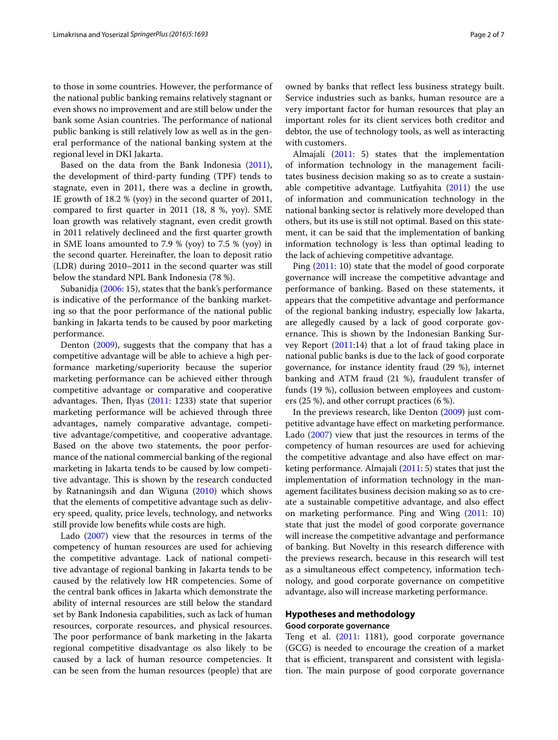to those in some countries. However, the performance of the national public banking remains relatively stagnant or even shows no improvement and are still below under the bank some Asian countries. The performance of national public banking is still relatively low as well as in the general performance of the national banking system at the regional level in DKI Jakarta.

Based on the data from the Bank Indonesia [\(2011](#page-5-0)), the development of third-party funding (TPF) tends to stagnate, even in 2011, there was a decline in growth, IE growth of 18.2 % (yoy) in the second quarter of 2011, compared to first quarter in 2011 (18, 8 %, yoy). SME loan growth was relatively stagnant, even credit growth in 2011 relatively declineed and the first quarter growth in SME loans amounted to 7.9 % (yoy) to 7.5 % (yoy) in the second quarter. Hereinafter, the loan to deposit ratio (LDR) during 2010–2011 in the second quarter was still below the standard NPL Bank Indonesia (78 %).

Subanidja [\(2006:](#page-6-1) 15), states that the bank's performance is indicative of the performance of the banking marketing so that the poor performance of the national public banking in Jakarta tends to be caused by poor marketing performance.

Denton ([2009](#page-5-1)), suggests that the company that has a competitive advantage will be able to achieve a high performance marketing/superiority because the superior marketing performance can be achieved either through competitive advantage or comparative and cooperative advantages. Then, Ilyas ([2011](#page-6-2): 1233) state that superior marketing performance will be achieved through three advantages, namely comparative advantage, competitive advantage/competitive, and cooperative advantage. Based on the above two statements, the poor performance of the national commercial banking of the regional marketing in Jakarta tends to be caused by low competitive advantage. This is shown by the research conducted by Ratnaningsih and dan Wiguna ([2010](#page-6-3)) which shows that the elements of competitive advantage such as delivery speed, quality, price levels, technology, and networks still provide low benefits while costs are high.

Lado ([2007\)](#page-6-4) view that the resources in terms of the competency of human resources are used for achieving the competitive advantage. Lack of national competitive advantage of regional banking in Jakarta tends to be caused by the relatively low HR competencies. Some of the central bank offices in Jakarta which demonstrate the ability of internal resources are still below the standard set by Bank Indonesia capabilities, such as lack of human resources, corporate resources, and physical resources. The poor performance of bank marketing in the Jakarta regional competitive disadvantage os also likely to be caused by a lack of human resource competencies. It can be seen from the human resources (people) that are owned by banks that reflect less business strategy built. Service industries such as banks, human resource are a very important factor for human resources that play an important roles for its client services both creditor and debtor, the use of technology tools, as well as interacting with customers.

Almajali ([2011:](#page-5-2) 5) states that the implementation of information technology in the management facilitates business decision making so as to create a sustainable competitive advantage. Lutfiyahita [\(2011](#page-6-5)) the use of information and communication technology in the national banking sector is relatively more developed than others, but its use is still not optimal. Based on this statement, it can be said that the implementation of banking information technology is less than optimal leading to the lack of achieving competitive advantage.

Ping [\(2011:](#page-6-6) 10) state that the model of good corporate governance will increase the competitive advantage and performance of banking. Based on these statements, it appears that the competitive advantage and performance of the regional banking industry, especially low Jakarta, are allegedly caused by a lack of good corporate governance. This is shown by the Indonesian Banking Survey Report [\(2011](#page-6-7):14) that a lot of fraud taking place in national public banks is due to the lack of good corporate governance, for instance identity fraud (29 %), internet banking and ATM fraud (21 %), fraudulent transfer of funds (19 %), collusion between employees and customers (25 %), and other corrupt practices (6 %).

In the previews research, like Denton ([2009](#page-5-1)) just competitive advantage have effect on marketing performance. Lado ([2007](#page-6-4)) view that just the resources in terms of the competency of human resources are used for achieving the competitive advantage and also have effect on marketing performance. Almajali [\(2011](#page-5-2): 5) states that just the implementation of information technology in the management facilitates business decision making so as to create a sustainable competitive advantage, and also effect on marketing performance. Ping and Wing ([2011:](#page-6-6) 10) state that just the model of good corporate governance will increase the competitive advantage and performance of banking. But Novelty in this research difference with the previews research, because in this research will test as a simultaneous effect competency, information technology, and good corporate governance on competitive advantage, also will increase marketing performance.

#### **Hypotheses and methodology**

#### **Good corporate governance**

Teng et al. ([2011:](#page-6-8) 1181), good corporate governance (GCG) is needed to encourage the creation of a market that is efficient, transparent and consistent with legislation. The main purpose of good corporate governance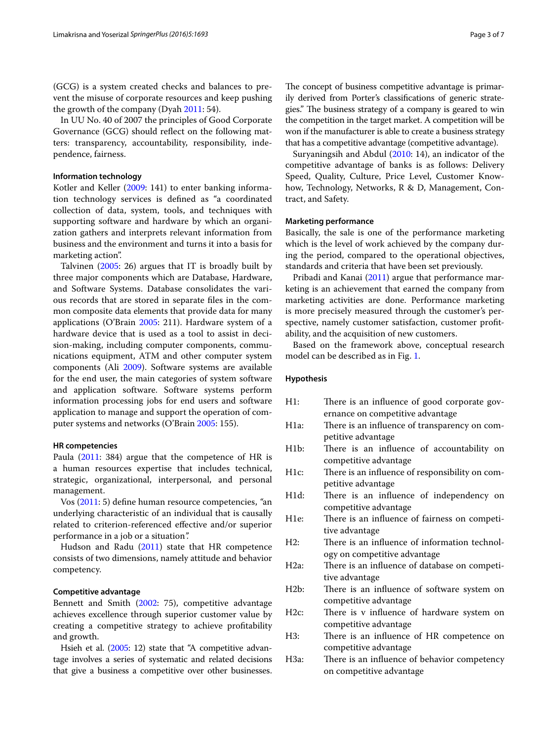(GCG) is a system created checks and balances to prevent the misuse of corporate resources and keep pushing the growth of the company (Dyah [2011](#page-5-3): 54).

In UU No. 40 of 2007 the principles of Good Corporate Governance (GCG) should reflect on the following matters: transparency, accountability, responsibility, independence, fairness.

#### **Information technology**

Kotler and Keller [\(2009:](#page-6-9) 141) to enter banking information technology services is defined as "a coordinated collection of data, system, tools, and techniques with supporting software and hardware by which an organization gathers and interprets relevant information from business and the environment and turns it into a basis for marketing action".

Talvinen ([2005:](#page-6-10) 26) argues that IT is broadly built by three major components which are Database, Hardware, and Software Systems. Database consolidates the various records that are stored in separate files in the common composite data elements that provide data for many applications (O'Brain [2005](#page-6-11): 211). Hardware system of a hardware device that is used as a tool to assist in decision-making, including computer components, communications equipment, ATM and other computer system components (Ali [2009](#page-5-4)). Software systems are available for the end user, the main categories of system software and application software. Software systems perform information processing jobs for end users and software application to manage and support the operation of computer systems and networks (O'Brain [2005](#page-6-11): 155).

#### **HR competencies**

Paula [\(2011](#page-5-5): 384) argue that the competence of HR is a human resources expertise that includes technical, strategic, organizational, interpersonal, and personal management.

Vos [\(2011](#page-6-12): 5) define human resource competencies, *"*an underlying characteristic of an individual that is causally related to criterion-referenced effective and/or superior performance in a job or a situation*".*

Hudson and Radu ([2011](#page-5-6)) state that HR competence consists of two dimensions, namely attitude and behavior competency.

#### **Competitive advantage**

Bennett and Smith ([2002:](#page-5-7) 75), competitive advantage achieves excellence through superior customer value by creating a competitive strategy to achieve profitability and growth.

Hsieh et al. [\(2005](#page-5-8): 12) state that "A competitive advantage involves a series of systematic and related decisions that give a business a competitive over other businesses.

The concept of business competitive advantage is primarily derived from Porter's classifications of generic strategies." The business strategy of a company is geared to win the competition in the target market. A competition will be won if the manufacturer is able to create a business strategy that has a competitive advantage (competitive advantage).

Suryaningsih and Abdul ([2010](#page-6-13): 14), an indicator of the competitive advantage of banks is as follows: Delivery Speed, Quality, Culture, Price Level, Customer Knowhow, Technology, Networks, R & D, Management, Contract, and Safety.

#### **Marketing performance**

Basically, the sale is one of the performance marketing which is the level of work achieved by the company during the period, compared to the operational objectives, standards and criteria that have been set previously.

Pribadi and Kanai ([2011\)](#page-6-14) argue that performance marketing is an achievement that earned the company from marketing activities are done. Performance marketing is more precisely measured through the customer's perspective, namely customer satisfaction, customer profitability, and the acquisition of new customers.

Based on the framework above, conceptual research model can be described as in Fig. [1.](#page-3-0)

#### **Hypothesis**

| H1:               | There is an influence of good corporate gov-    |  |  |
|-------------------|-------------------------------------------------|--|--|
|                   | ernance on competitive advantage                |  |  |
| H1a:              | There is an influence of transparency on com-   |  |  |
|                   | petitive advantage                              |  |  |
| H1b:              | There is an influence of accountability on      |  |  |
|                   | competitive advantage                           |  |  |
| H1c:              | There is an influence of responsibility on com- |  |  |
|                   | petitive advantage                              |  |  |
| $H1d$ :           | There is an influence of independency on        |  |  |
|                   | competitive advantage                           |  |  |
| H <sub>1</sub> e: | There is an influence of fairness on competi-   |  |  |
|                   | tive advantage                                  |  |  |
| H2:               | There is an influence of information technol-   |  |  |
|                   | ogy on competitive advantage                    |  |  |
| $H2a$ :           | There is an influence of database on competi-   |  |  |
|                   | tive advantage                                  |  |  |
| H2b:              | There is an influence of software system on     |  |  |
|                   | competitive advantage                           |  |  |
| $H2c$ :           | There is v influence of hardware system on      |  |  |
|                   | competitive advantage                           |  |  |
| H3:               | There is an influence of HR competence on       |  |  |
|                   | competitive advantage                           |  |  |
| H3a:              | There is an influence of behavior competency    |  |  |
|                   | on competitive advantage                        |  |  |
|                   |                                                 |  |  |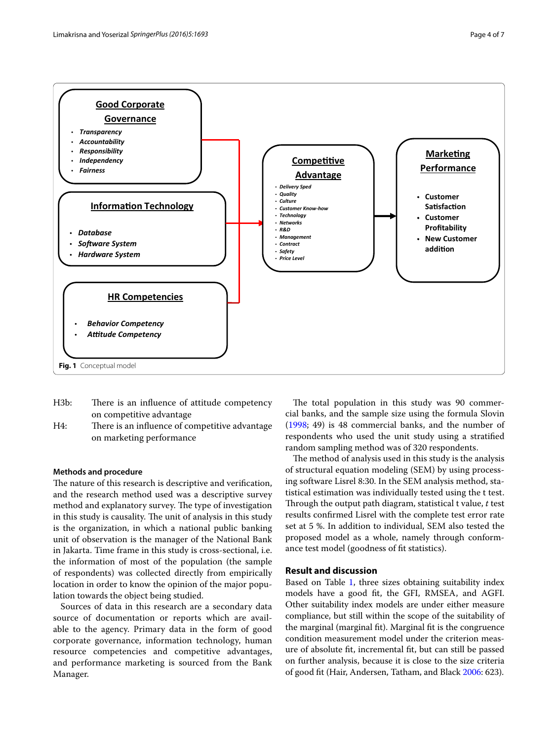



- <span id="page-3-0"></span>H3b: There is an influence of attitude competency on competitive advantage
- H4: There is an influence of competitive advantage on marketing performance

## **Methods and procedure**

The nature of this research is descriptive and verification, and the research method used was a descriptive survey method and explanatory survey. The type of investigation in this study is causality. The unit of analysis in this study is the organization, in which a national public banking unit of observation is the manager of the National Bank in Jakarta. Time frame in this study is cross-sectional, i.e. the information of most of the population (the sample of respondents) was collected directly from empirically location in order to know the opinion of the major population towards the object being studied.

Sources of data in this research are a secondary data source of documentation or reports which are available to the agency. Primary data in the form of good corporate governance, information technology, human resource competencies and competitive advantages, and performance marketing is sourced from the Bank Manager.

The total population in this study was 90 commercial banks, and the sample size using the formula Slovin ([1998;](#page-6-15) 49) is 48 commercial banks, and the number of respondents who used the unit study using a stratified random sampling method was of 320 respondents.

The method of analysis used in this study is the analysis of structural equation modeling (SEM) by using processing software Lisrel 8:30. In the SEM analysis method, statistical estimation was individually tested using the t test. Through the output path diagram, statistical t value, *t* test results confirmed Lisrel with the complete test error rate set at 5 %. In addition to individual, SEM also tested the proposed model as a whole, namely through conformance test model (goodness of fit statistics).

## **Result and discussion**

Based on Table [1](#page-4-0), three sizes obtaining suitability index models have a good fit, the GFI, RMSEA, and AGFI. Other suitability index models are under either measure compliance, but still within the scope of the suitability of the marginal (marginal fit). Marginal fit is the congruence condition measurement model under the criterion measure of absolute fit, incremental fit, but can still be passed on further analysis, because it is close to the size criteria of good fit (Hair, Andersen, Tatham, and Black [2006:](#page-5-9) 623).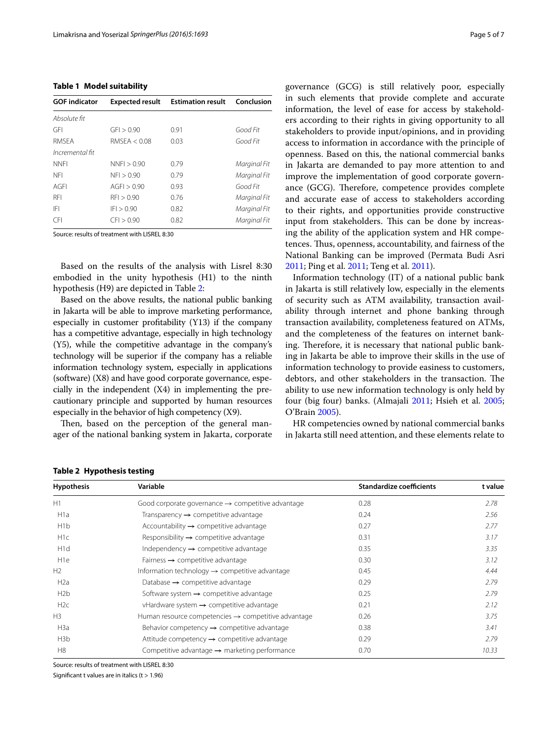## <span id="page-4-0"></span>**Table 1 Model suitability**

| <b>GOF indicator</b> | <b>Expected result</b> | <b>Estimation result</b> | Conclusion   |
|----------------------|------------------------|--------------------------|--------------|
| Absolute fit         |                        |                          |              |
| GFI                  | GF > 0.90              | 0.91                     | Good Fit     |
| <b>RMSFA</b>         | RMSEA < 0.08           | 0.03                     | Good Fit     |
| Incremental fit      |                        |                          |              |
| <b>NNFI</b>          | NNFI > 0.90            | 0.79                     | Marginal Fit |
| <b>NFI</b>           | NF1 > 0.90             | 0.79                     | Marginal Fit |
| AGFI                 | AGF1 > 0.90            | 0.93                     | Good Fit     |
| <b>RFI</b>           | RFI > 0.90             | 0.76                     | Marginal Fit |
| IFI                  | IF > 0.90              | 0.82                     | Marginal Fit |
| <b>CFI</b>           | CFI > 0.90             | 0.82                     | Marginal Fit |

Source: results of treatment with LISREL 8:30

Based on the results of the analysis with Lisrel 8:30 embodied in the unity hypothesis (H1) to the ninth hypothesis (H9) are depicted in Table [2](#page-4-1):

Based on the above results, the national public banking in Jakarta will be able to improve marketing performance, especially in customer profitability (Y13) if the company has a competitive advantage, especially in high technology (Y5), while the competitive advantage in the company's technology will be superior if the company has a reliable information technology system, especially in applications (software) (X8) and have good corporate governance, especially in the independent (X4) in implementing the precautionary principle and supported by human resources especially in the behavior of high competency (X9).

Then, based on the perception of the general manager of the national banking system in Jakarta, corporate governance (GCG) is still relatively poor, especially in such elements that provide complete and accurate information, the level of ease for access by stakeholders according to their rights in giving opportunity to all stakeholders to provide input/opinions, and in providing access to information in accordance with the principle of openness. Based on this, the national commercial banks in Jakarta are demanded to pay more attention to and improve the implementation of good corporate governance (GCG). Therefore, competence provides complete and accurate ease of access to stakeholders according to their rights, and opportunities provide constructive input from stakeholders. This can be done by increasing the ability of the application system and HR competences. Thus, openness, accountability, and fairness of the National Banking can be improved (Permata Budi Asri [2011](#page-5-3); Ping et al. [2011;](#page-6-6) Teng et al. [2011](#page-6-8)).

Information technology (IT) of a national public bank in Jakarta is still relatively low, especially in the elements of security such as ATM availability, transaction availability through internet and phone banking through transaction availability, completeness featured on ATMs, and the completeness of the features on internet banking. Therefore, it is necessary that national public banking in Jakarta be able to improve their skills in the use of information technology to provide easiness to customers, debtors, and other stakeholders in the transaction. The ability to use new information technology is only held by four (big four) banks. (Almajali [2011](#page-5-2); Hsieh et al. [2005](#page-5-8); O'Brain [2005\)](#page-6-11).

HR competencies owned by national commercial banks in Jakarta still need attention, and these elements relate to

|            | - - |          |  |
|------------|-----|----------|--|
| Hypothesis |     | Variable |  |
|            |     |          |  |

| <b>Hypothesis</b> | Variable                                                        | <b>Standardize coefficients</b> | t value |
|-------------------|-----------------------------------------------------------------|---------------------------------|---------|
| H1                | Good corporate governance $\rightarrow$ competitive advantage   | 0.28                            | 2.78    |
| H1a               | Transparency $\rightarrow$ competitive advantage                | 0.24                            | 2.56    |
| H1b               | Accountability $\rightarrow$ competitive advantage              | 0.27                            | 2.77    |
| H1c               | Responsibility $\rightarrow$ competitive advantage              | 0.31                            | 3.17    |
| H <sub>1</sub> d  | Independency $\rightarrow$ competitive advantage                | 0.35                            | 3.35    |
| H <sub>1e</sub>   | Fairness $\rightarrow$ competitive advantage                    | 0.30                            | 3.12    |
| H2                | Information technology $\rightarrow$ competitive advantage      | 0.45                            | 4.44    |
| H2a               | Database $\rightarrow$ competitive advantage                    | 0.29                            | 2.79    |
| H2b               | Software system $\rightarrow$ competitive advantage             | 0.25                            | 2.79    |
| H2c               | vHardware system → competitive advantage                        | 0.21                            | 2.12    |
| H3                | Human resource competencies $\rightarrow$ competitive advantage | 0.26                            | 3.75    |
| H3a               | Behavior competency $\rightarrow$ competitive advantage         | 0.38                            | 3.41    |
| H3b               | Attitude competency $\rightarrow$ competitive advantage         | 0.29                            | 2.79    |
| H <sub>8</sub>    | Competitive advantage $\rightarrow$ marketing performance       | 0.70                            | 10.33   |

Source: results of treatment with LISREL 8:30

Significant t values are in italics ( $t > 1.96$ )

<span id="page-4-1"></span>**Table 2 Hypothesis testing**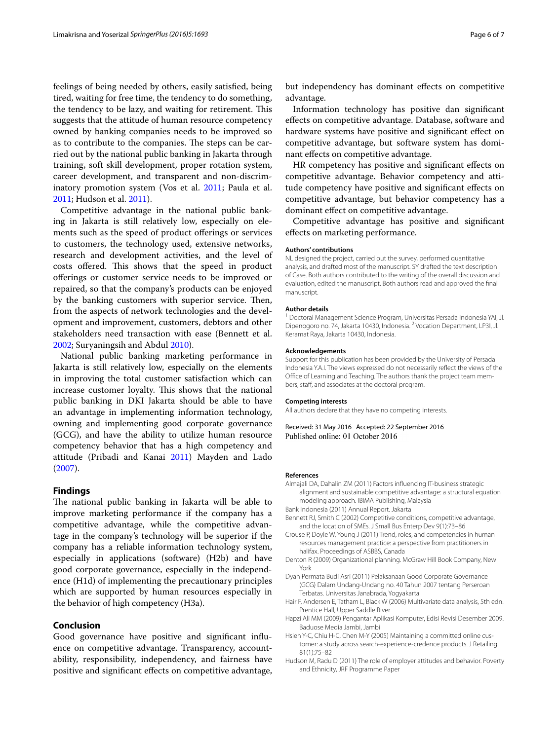feelings of being needed by others, easily satisfied, being tired, waiting for free time, the tendency to do something, the tendency to be lazy, and waiting for retirement. This suggests that the attitude of human resource competency owned by banking companies needs to be improved so as to contribute to the companies. The steps can be carried out by the national public banking in Jakarta through training, soft skill development, proper rotation system, career development, and transparent and non-discriminatory promotion system (Vos et al. [2011](#page-6-12); Paula et al. [2011](#page-5-5); Hudson et al. [2011\)](#page-5-6).

Competitive advantage in the national public banking in Jakarta is still relatively low, especially on elements such as the speed of product offerings or services to customers, the technology used, extensive networks, research and development activities, and the level of costs offered. This shows that the speed in product offerings or customer service needs to be improved or repaired, so that the company's products can be enjoyed by the banking customers with superior service. Then, from the aspects of network technologies and the development and improvement, customers, debtors and other stakeholders need transaction with ease (Bennett et al. [2002](#page-5-7); Suryaningsih and Abdul [2010\)](#page-6-13).

National public banking marketing performance in Jakarta is still relatively low, especially on the elements in improving the total customer satisfaction which can increase customer loyalty. This shows that the national public banking in DKI Jakarta should be able to have an advantage in implementing information technology, owning and implementing good corporate governance (GCG), and have the ability to utilize human resource competency behavior that has a high competency and attitude (Pribadi and Kanai [2011\)](#page-6-14) Mayden and Lado ([2007\)](#page-6-4).

### **Findings**

The national public banking in Jakarta will be able to improve marketing performance if the company has a competitive advantage, while the competitive advantage in the company's technology will be superior if the company has a reliable information technology system, especially in applications (software) (H2b) and have good corporate governance, especially in the independence (H1d) of implementing the precautionary principles which are supported by human resources especially in the behavior of high competency (H3a).

#### **Conclusion**

Good governance have positive and significant influence on competitive advantage. Transparency, accountability, responsibility, independency, and fairness have positive and significant effects on competitive advantage, but independency has dominant effects on competitive advantage.

Information technology has positive dan significant effects on competitive advantage. Database, software and hardware systems have positive and significant effect on competitive advantage, but software system has dominant effects on competitive advantage.

HR competency has positive and significant effects on competitive advantage. Behavior competency and attitude competency have positive and significant effects on competitive advantage, but behavior competency has a dominant effect on competitive advantage.

Competitive advantage has positive and significant effects on marketing performance.

#### **Authors' contributions**

NL designed the project, carried out the survey, performed quantitative analysis, and drafted most of the manuscript. SY drafted the text description of Case. Both authors contributed to the writing of the overall discussion and evaluation, edited the manuscript. Both authors read and approved the final manuscript.

#### **Author details**

<sup>1</sup> Doctoral Management Science Program, Universitas Persada Indonesia YAI, Jl. Dipenogoro no. 74, Jakarta 10430, Indonesia. <sup>2</sup> Vocation Department, LP3I, Jl. Keramat Raya, Jakarta 10430, Indonesia.

#### **Acknowledgements**

Support for this publication has been provided by the University of Persada Indonesia Y.A.I. The views expressed do not necessarily reflect the views of the Office of Learning and Teaching. The authors thank the project team members, staff, and associates at the doctoral program.

#### **Competing interests**

All authors declare that they have no competing interests.

Received: 31 May 2016 Accepted: 22 September 2016 Published online: 01 October 2016

#### **References**

- <span id="page-5-2"></span>Almajali DA, Dahalin ZM (2011) Factors influencing IT-business strategic alignment and sustainable competitive advantage: a structural equation modeling approach. IBIMA Publishing, Malaysia
- <span id="page-5-0"></span>Bank Indonesia (2011) Annual Report. Jakarta
- <span id="page-5-7"></span>Bennett RJ, Smith C (2002) Competitive conditions, competitive advantage, and the location of SMEs. J Small Bus Enterp Dev 9(1):73–86
- <span id="page-5-5"></span>Crouse P, Doyle W, Young J (2011) Trend, roles, and competencies in human resources management practice: a perspective from practitioners in halifax. Proceedings of ASBBS, Canada
- <span id="page-5-1"></span>Denton R (2009) Organizational planning. McGraw Hill Book Company, New York
- <span id="page-5-3"></span>Dyah Permata Budi Asri (2011) Pelaksanaan Good Corporate Governance (GCG) Dalam Undang-Undang no. 40 Tahun 2007 tentang Perseroan Terbatas. Universitas Janabrada, Yogyakarta
- <span id="page-5-9"></span>Hair F, Andersen E, Tatham L, Black W (2006) Multivariate data analysis, 5th edn. Prentice Hall, Upper Saddle River
- <span id="page-5-4"></span>Hapzi Ali MM (2009) Pengantar Aplikasi Komputer, Edisi Revisi Desember 2009. Baduose Media Jambi, Jambi
- <span id="page-5-8"></span>Hsieh Y-C, Chiu H-C, Chen M-Y (2005) Maintaining a committed online customer: a study across search-experience-credence products. J Retailing 81(1):75–82
- <span id="page-5-6"></span>Hudson M, Radu D (2011) The role of employer attitudes and behavior. Poverty and Ethnicity, JRF Programme Paper